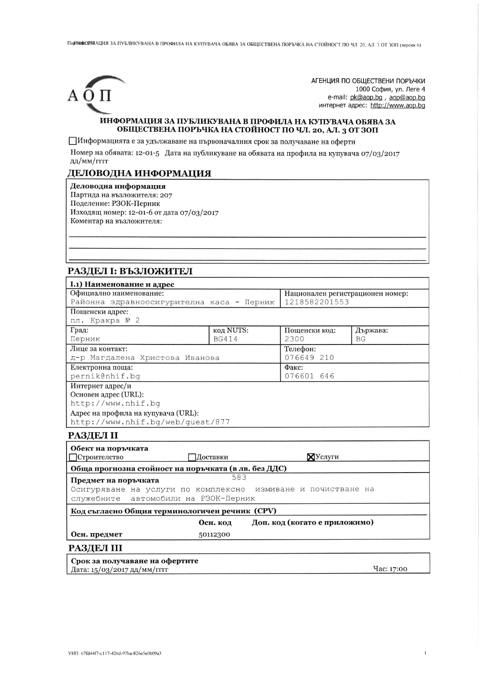ПарНИФОРЛАЦИЯ ЗА ПУБЛИКУВАНА В ПРОФИЛА НА КУПУВАЧА ОБЯВА ЗА ОБЩЕСТВЕНА ПОРЪЧКА НА СТОЙНОСТ ПО ЧЛ. 20, АЛ. 3 ОТ ЗОП (версия 6)



АГЕНЦИЯ ПО ОБЩЕСТВЕНИ ПОРЪЧКИ 1000 София, ул. Леге 4 e-mail: pk@aop.bg, aop@aop.bg интернет адрес: http://www.aop.bg

 $\bar{1}$ 

#### ИНФОРМАЦИЯ ЗА ПУБЛИКУВАНА В ПРОФИЛА НА КУПУВАЧА ОБЯВА ЗА ОБЩЕСТВЕНА ПОРЪЧКА НА СТОЙНОСТ ПО ЧЛ. 20, АЛ. 3 ОТ ЗОП

ПИнформацията е за удължаване на първоначалния срок за получаване на оферти

Номер на обявата: 12-01-5 Дата на публикуване на обявата на профила на купувача 07/03/2017 дд/мм/гггг

# ДЕЛОВОДНА ИНФОРМАЦИЯ

Деловодна информация Партида на възложителя: 207 Поделение: РЗОК-Перник Изходящ номер: 12-01-6 от дата 07/03/2017 Коментар на възложителя:

## РАЗДЕЛ I: ВЪЗЛОЖИТЕЛ

| <b>I.1) Наименование и адрес</b>          |               |                                  |  |  |  |
|-------------------------------------------|---------------|----------------------------------|--|--|--|
| Официално наименование:                   |               | Национален регистрационен номер: |  |  |  |
| Районна здравноосигурителна каса - Перник |               | 1218582201553                    |  |  |  |
|                                           |               |                                  |  |  |  |
| пл. Кракра № 2                            |               |                                  |  |  |  |
| код NUTS:                                 | Пощенски код: | Държава:                         |  |  |  |
| <b>BG414</b>                              | 2300          | BG                               |  |  |  |
| Лице за контакт:                          |               | Телефон:                         |  |  |  |
| д-р Магдалена Христова Иванова            |               | 076649 210                       |  |  |  |
| Електронна поща:                          |               | Факс:                            |  |  |  |
| pernik@nhif.bq                            |               | 076601 646                       |  |  |  |
| Интернет адрес/и                          |               |                                  |  |  |  |
| Основен адрес (URL):                      |               |                                  |  |  |  |
| http://www.nhif.bq                        |               |                                  |  |  |  |
| Адрес на профила на купувача (URL):       |               |                                  |  |  |  |
| http://www.nhif.bq/web/quest/877          |               |                                  |  |  |  |
|                                           |               |                                  |  |  |  |

#### **РАЗДЕЛ II**

| Обект на поръчката<br><b>□ Строителство</b>          | Доставки | $\mathbb{X}$ Услуги                                          |            |  |
|------------------------------------------------------|----------|--------------------------------------------------------------|------------|--|
| Обща прогнозна стойност на поръчката (в лв. без ДДС) |          |                                                              |            |  |
| Предмет на поръчката                                 | 583      |                                                              |            |  |
|                                                      |          | Осигуряване на услуги по комплексно измиване и почистване на |            |  |
| служебните автомобили на РЗОК-Перник                 |          |                                                              |            |  |
| Код съгласно Общия терминологичен речник (CPV)       |          |                                                              |            |  |
|                                                      | Осн. код | Доп. код (когато е приложимо)                                |            |  |
| Осн. предмет                                         | 50112300 |                                                              |            |  |
| <b>РАЗДЕЛ III</b>                                    |          |                                                              |            |  |
| Срок за получаване на офертите                       |          |                                                              |            |  |
| Дата: 15/03/2017 дд/мм/гггг                          |          |                                                              | Yac: 17:00 |  |